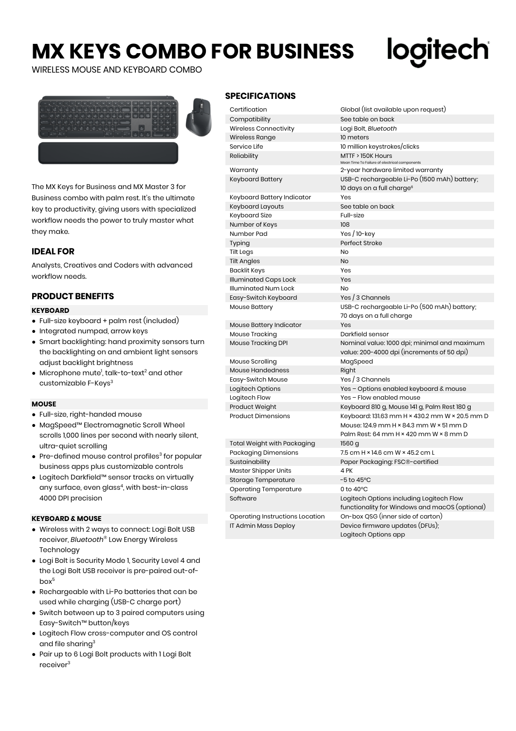# **MX KEYS COMBO FOR BUSINESS**

WIRELESS MOUSE AND KEYBOARD COMBO

The MX Keys for Business and MX Master 3 for Business combo with palm rest. It's the ultimate key to productivity, giving users with specialized workflow needs the power to truly master what they make.

# **IDEAL FOR**

Analysts, Creatives and Coders with advanced workflow needs.

# **PRODUCT BENEFITS**

#### **KEYBOARD**

- Full-size keyboard + palm rest (included)
- Integrated numpad, arrow keys
- Smart backlighting: hand proximity sensors turn the backlighting on and ambient light sensors adjust backlight brightness
- $\bullet$  Microphone mute<sup>1</sup>, talk-to-text<sup>2</sup> and other customizable F-Keys<sup>3</sup>

#### **MOUSE**

- Full-size, right-handed mouse
- MagSpeed™ Electromagnetic Scroll Wheel scrolls 1,000 lines per second with nearly silent, ultra-quiet scrolling
- $\bullet$  Pre-defined mouse control profiles<sup>3</sup> for popular business apps plus customizable controls
- Logitech Darkfield™ sensor tracks on virtually any surface, even glass<sup>4</sup>, with best-in-class 4000 DPI precision

#### **KEYBOARD & MOUSE**

- Wireless with 2 ways to connect: Logi Bolt USB receiver, *Bluetooth*® Low Energy Wireless **Technology**
- Logi Bolt is Security Mode 1, Security Level 4 and the Logi Bolt USB receiver is pre-paired out-of $h(x^5)$
- Rechargeable with Li-Po batteries that can be used while charging (USB-C charge port)
- Switch between up to 3 paired computers using Easy-Switch™ button/keys
- Logitech Flow cross-computer and OS control and file sharing<sup>3</sup>
- Pair up to 6 Logi Bolt products with 1 Logi Bolt receiver<sup>3</sup>

## **SPECIFICATIONS**

| Certification                   | Global (list available upon request)                                                                                                |  |  |
|---------------------------------|-------------------------------------------------------------------------------------------------------------------------------------|--|--|
| Compatibility                   | See table on back                                                                                                                   |  |  |
| Wireless Connectivity           | Logi Bolt, Bluetooth                                                                                                                |  |  |
| Wireless Range                  | 10 meters                                                                                                                           |  |  |
| Service Life                    | 10 million keystrokes/clicks                                                                                                        |  |  |
| Reliability                     | MTTF > 150K Hours<br>Mean Time To Failure of electrical components                                                                  |  |  |
| Warranty                        | 2-year hardware limited warranty                                                                                                    |  |  |
| Keyboard Battery                | USB-C rechargeable Li-Po (1500 mAh) battery;<br>10 days on a full charge <sup>6</sup>                                               |  |  |
| Keyboard Battery Indicator      | Yes                                                                                                                                 |  |  |
| Keyboard Layouts                | See table on back                                                                                                                   |  |  |
| Keyboard Size                   | Full-size                                                                                                                           |  |  |
| Number of Keys                  | 108                                                                                                                                 |  |  |
| Number Pad                      | Yes / $10$ -key                                                                                                                     |  |  |
| Typing                          | Perfect Stroke                                                                                                                      |  |  |
| Tilt Legs                       | No                                                                                                                                  |  |  |
| <b>Tilt Angles</b>              | No                                                                                                                                  |  |  |
| Backlit Keys                    | Yes                                                                                                                                 |  |  |
| <b>Illuminated Caps Lock</b>    | Yes                                                                                                                                 |  |  |
| Illuminated Num Lock            | No                                                                                                                                  |  |  |
| Easy-Switch Keyboard            | Yes / 3 Channels                                                                                                                    |  |  |
| Mouse Battery                   | USB-C rechargeable Li-Po (500 mAh) battery;                                                                                         |  |  |
|                                 | 70 days on a full charge                                                                                                            |  |  |
| Mouse Battery Indicator         | Yes                                                                                                                                 |  |  |
| Mouse Tracking                  | Darkfield sensor                                                                                                                    |  |  |
| Mouse Tracking DPI              | Nominal value: 1000 dpi; minimal and maximum<br>value: 200-4000 dpi (increments of 50 dpi)                                          |  |  |
| Mouse Scrolling                 | MagSpeed                                                                                                                            |  |  |
| Mouse Handedness                | Right                                                                                                                               |  |  |
| Easy-Switch Mouse               | Yes / 3 Channels                                                                                                                    |  |  |
| Logitech Options                | Yes - Options enabled keyboard & mouse                                                                                              |  |  |
| Logitech Flow                   | Yes - Flow enabled mouse                                                                                                            |  |  |
| Product Weight                  | Keyboard 810 g, Mouse 141 g, Palm Rest 180 g                                                                                        |  |  |
| Product Dimensions              | Keyboard: 131.63 mm H × 430.2 mm W × 20.5 mm D<br>Mouse: 124.9 mm H × 84.3 mm W × 51 mm D<br>Palm Rest: 64 mm H × 420 mm W × 8 mm D |  |  |
| Total Weight with Packaging     | 1560 g                                                                                                                              |  |  |
| Packaging Dimensions            | 7.5 cm H × 14.6 cm W × 45.2 cm L                                                                                                    |  |  |
| Sustainability                  | Paper Packaging: FSC®-certified                                                                                                     |  |  |
| Master Shipper Units            | 4 PK                                                                                                                                |  |  |
| Storage Temperature             | $-5$ to 45 $^{\circ}$ C                                                                                                             |  |  |
| Operating Temperature           | 0 to $40^{\circ}$ C                                                                                                                 |  |  |
| Software                        | Logitech Options including Logitech Flow                                                                                            |  |  |
|                                 | functionality for Windows and macOS (optional)                                                                                      |  |  |
| Operating Instructions Location | On-box QSG (inner side of carton)                                                                                                   |  |  |
| IT Admin Mass Deploy            | Device firmware updates (DFUs);                                                                                                     |  |  |

<u>logitech</u>

Logitech Options app